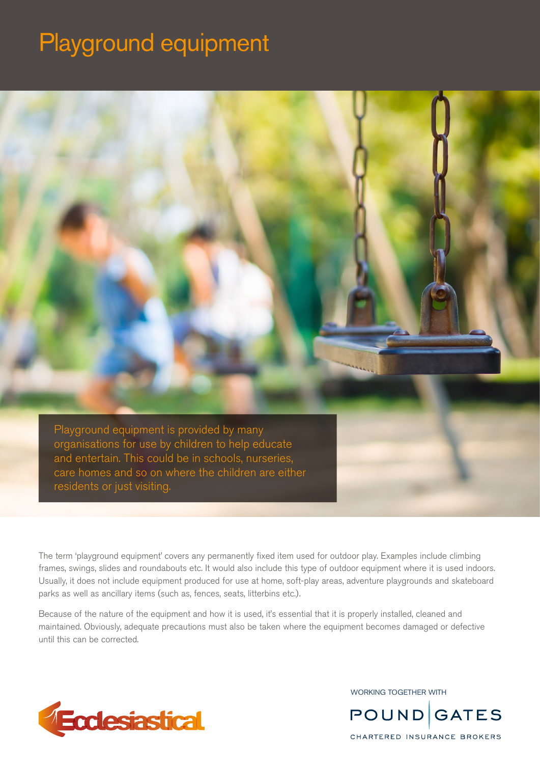# Playground equipment



The term 'playground equipment' covers any permanently fixed item used for outdoor play. Examples include climbing frames, swings, slides and roundabouts etc. It would also include this type of outdoor equipment where it is used indoors. Usually, it does not include equipment produced for use at home, soft-play areas, adventure playgrounds and skateboard parks as well as ancillary items (such as, fences, seats, litterbins etc.).

Because of the nature of the equipment and how it is used, it's essential that it is properly installed, cleaned and maintained. Obviously, adequate precautions must also be taken where the equipment becomes damaged or defective until this can be corrected.



WORKING TOGETHER WITH

**POUND GATES** 

CHARTERED INSURANCE BROKERS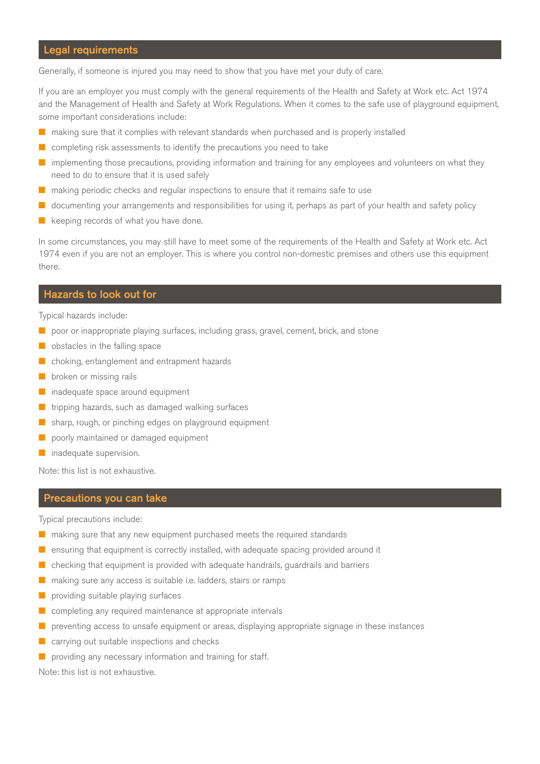# Legal requirements

Generally, if someone is injured you may need to show that you have met your duty of care.

If you are an employer you must comply with the general requirements of the Health and Safety at Work etc. Act 1974 and the Management of Health and Safety at Work Regulations. When it comes to the safe use of playground equipment, some important considerations include:

- n making sure that it complies with relevant standards when purchased and is properly installed
- $\blacksquare$  completing risk assessments to identify the precautions you need to take
- $\blacksquare$  implementing those precautions, providing information and training for any employees and volunteers on what they need to do to ensure that it is used safely
- $\blacksquare$  making periodic checks and regular inspections to ensure that it remains safe to use
- $\Box$  documenting your arrangements and responsibilities for using it, perhaps as part of your health and safety policy
- $\blacksquare$  keeping records of what you have done.

In some circumstances, you may still have to meet some of the requirements of the Health and Safety at Work etc. Act 1974 even if you are not an employer. This is where you control non-domestic premises and others use this equipment there.

# Hazards to look out for

Typical hazards include:

- $\blacksquare$  poor or inappropriate playing surfaces, including grass, gravel, cement, brick, and stone
- $\blacksquare$  obstacles in the falling space
- $\blacksquare$  choking, entanglement and entrapment hazards
- broken or missing rails
- $\blacksquare$  inadequate space around equipment
- $\blacksquare$  tripping hazards, such as damaged walking surfaces
- $\blacksquare$  sharp, rough, or pinching edges on playground equipment
- n poorly maintained or damaged equipment
- $\blacksquare$  inadequate supervision.

Note: this list is not exhaustive.

#### Precautions you can take

Typical precautions include:

- $\blacksquare$  making sure that any new equipment purchased meets the required standards
- $\blacksquare$  ensuring that equipment is correctly installed, with adequate spacing provided around it
- $\blacksquare$  checking that equipment is provided with adequate handrails, guardrails and barriers
- making sure any access is suitable i.e. ladders, stairs or ramps
- providing suitable playing surfaces
- completing any required maintenance at appropriate intervals
- $\blacksquare$  preventing access to unsafe equipment or areas, displaying appropriate signage in these instances
- $\blacksquare$  carrying out suitable inspections and checks
- $\blacksquare$  providing any necessary information and training for staff.

Note: this list is not exhaustive.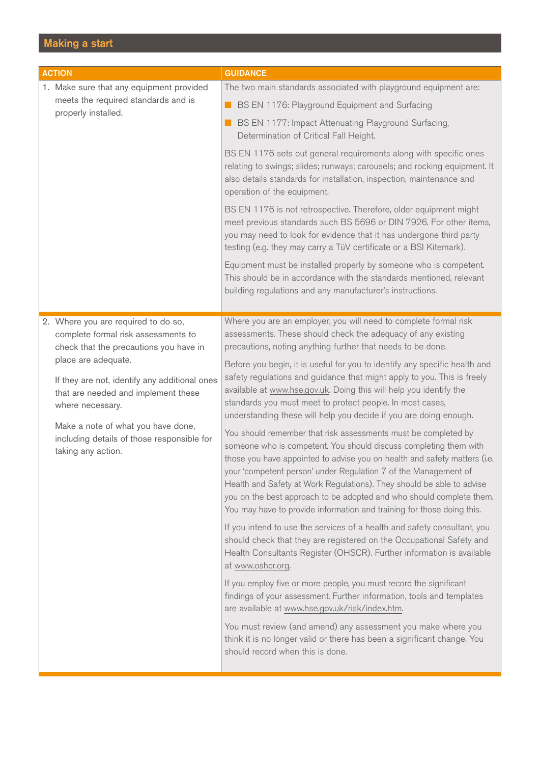# Making a start

| <b>ACTION</b>                                                                                                                                                                                                                                                                                                                                                     | <b>GUIDANCE</b>                                                                                                                                                                                                                                                                                                                                                                                                                                                                                                                                                                                                                                                                                                                                                                                                                                                                                                                                                                                                                                                                                                                                                                                                                                                                                                                                                                                                                                                                                                                                                                                                                                                                                                        |
|-------------------------------------------------------------------------------------------------------------------------------------------------------------------------------------------------------------------------------------------------------------------------------------------------------------------------------------------------------------------|------------------------------------------------------------------------------------------------------------------------------------------------------------------------------------------------------------------------------------------------------------------------------------------------------------------------------------------------------------------------------------------------------------------------------------------------------------------------------------------------------------------------------------------------------------------------------------------------------------------------------------------------------------------------------------------------------------------------------------------------------------------------------------------------------------------------------------------------------------------------------------------------------------------------------------------------------------------------------------------------------------------------------------------------------------------------------------------------------------------------------------------------------------------------------------------------------------------------------------------------------------------------------------------------------------------------------------------------------------------------------------------------------------------------------------------------------------------------------------------------------------------------------------------------------------------------------------------------------------------------------------------------------------------------------------------------------------------------|
| 1. Make sure that any equipment provided<br>meets the required standards and is<br>properly installed.                                                                                                                                                                                                                                                            | The two main standards associated with playground equipment are:<br><b>BS EN 1176: Playground Equipment and Surfacing</b><br><b>BS EN 1177: Impact Attenuating Playground Surfacing,</b><br>Determination of Critical Fall Height.<br>BS EN 1176 sets out general requirements along with specific ones<br>relating to swings; slides; runways; carousels; and rocking equipment. It<br>also details standards for installation, inspection, maintenance and<br>operation of the equipment.<br>BS EN 1176 is not retrospective. Therefore, older equipment might<br>meet previous standards such BS 5696 or DIN 7926. For other items,<br>you may need to look for evidence that it has undergone third party<br>testing (e.g. they may carry a TüV certificate or a BSI Kitemark).<br>Equipment must be installed properly by someone who is competent.                                                                                                                                                                                                                                                                                                                                                                                                                                                                                                                                                                                                                                                                                                                                                                                                                                                               |
|                                                                                                                                                                                                                                                                                                                                                                   | This should be in accordance with the standards mentioned, relevant<br>building regulations and any manufacturer's instructions.                                                                                                                                                                                                                                                                                                                                                                                                                                                                                                                                                                                                                                                                                                                                                                                                                                                                                                                                                                                                                                                                                                                                                                                                                                                                                                                                                                                                                                                                                                                                                                                       |
| 2. Where you are required to do so,<br>complete formal risk assessments to<br>check that the precautions you have in<br>place are adequate.<br>If they are not, identify any additional ones<br>that are needed and implement these<br>where necessary.<br>Make a note of what you have done,<br>including details of those responsible for<br>taking any action. | Where you are an employer, you will need to complete formal risk<br>assessments. These should check the adequacy of any existing<br>precautions, noting anything further that needs to be done.<br>Before you begin, it is useful for you to identify any specific health and<br>safety regulations and guidance that might apply to you. This is freely<br>available at www.hse.gov.uk. Doing this will help you identify the<br>standards you must meet to protect people. In most cases,<br>understanding these will help you decide if you are doing enough.<br>You should remember that risk assessments must be completed by<br>someone who is competent. You should discuss completing them with<br>those you have appointed to advise you on health and safety matters (i.e.<br>your 'competent person' under Regulation 7 of the Management of<br>Health and Safety at Work Regulations). They should be able to advise<br>you on the best approach to be adopted and who should complete them.<br>You may have to provide information and training for those doing this.<br>If you intend to use the services of a health and safety consultant, you<br>should check that they are registered on the Occupational Safety and<br>Health Consultants Register (OHSCR). Further information is available<br>at www.oshcr.org.<br>If you employ five or more people, you must record the significant<br>findings of your assessment. Further information, tools and templates<br>are available at www.hse.gov.uk/risk/index.htm.<br>You must review (and amend) any assessment you make where you<br>think it is no longer valid or there has been a significant change. You<br>should record when this is done. |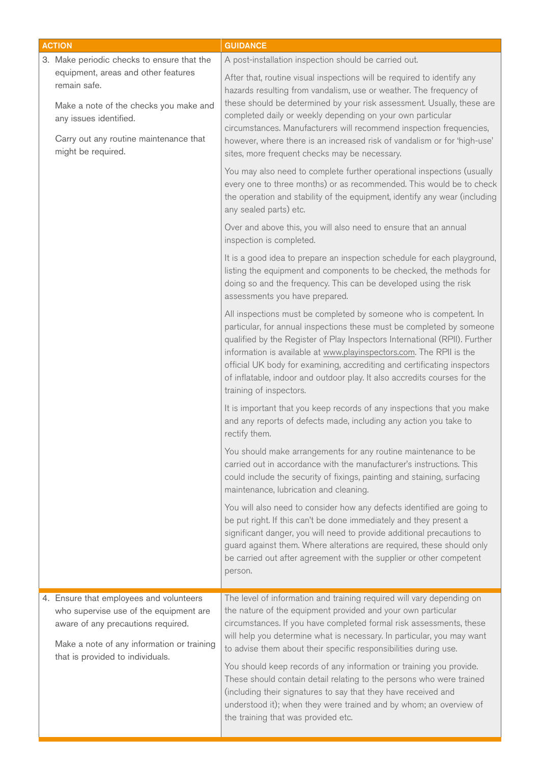|  | <b>ACTION</b>                                                                                                                                                                                             | <b>GUIDANCE</b>                                                                                                                                                                                                                                                                                                                                                                                                                                                                                                                                                                                                                                                                          |
|--|-----------------------------------------------------------------------------------------------------------------------------------------------------------------------------------------------------------|------------------------------------------------------------------------------------------------------------------------------------------------------------------------------------------------------------------------------------------------------------------------------------------------------------------------------------------------------------------------------------------------------------------------------------------------------------------------------------------------------------------------------------------------------------------------------------------------------------------------------------------------------------------------------------------|
|  | 3. Make periodic checks to ensure that the                                                                                                                                                                | A post-installation inspection should be carried out.                                                                                                                                                                                                                                                                                                                                                                                                                                                                                                                                                                                                                                    |
|  | equipment, areas and other features<br>remain safe.<br>Make a note of the checks you make and<br>any issues identified.<br>Carry out any routine maintenance that<br>might be required.                   | After that, routine visual inspections will be required to identify any<br>hazards resulting from vandalism, use or weather. The frequency of<br>these should be determined by your risk assessment. Usually, these are<br>completed daily or weekly depending on your own particular<br>circumstances. Manufacturers will recommend inspection frequencies,<br>however, where there is an increased risk of vandalism or for 'high-use'<br>sites, more frequent checks may be necessary.                                                                                                                                                                                                |
|  |                                                                                                                                                                                                           | You may also need to complete further operational inspections (usually<br>every one to three months) or as recommended. This would be to check<br>the operation and stability of the equipment, identify any wear (including<br>any sealed parts) etc.                                                                                                                                                                                                                                                                                                                                                                                                                                   |
|  |                                                                                                                                                                                                           | Over and above this, you will also need to ensure that an annual<br>inspection is completed.                                                                                                                                                                                                                                                                                                                                                                                                                                                                                                                                                                                             |
|  |                                                                                                                                                                                                           | It is a good idea to prepare an inspection schedule for each playground,<br>listing the equipment and components to be checked, the methods for<br>doing so and the frequency. This can be developed using the risk<br>assessments you have prepared.                                                                                                                                                                                                                                                                                                                                                                                                                                    |
|  |                                                                                                                                                                                                           | All inspections must be completed by someone who is competent. In<br>particular, for annual inspections these must be completed by someone<br>qualified by the Register of Play Inspectors International (RPII). Further<br>information is available at www.playinspectors.com. The RPII is the<br>official UK body for examining, accrediting and certificating inspectors<br>of inflatable, indoor and outdoor play. It also accredits courses for the<br>training of inspectors.                                                                                                                                                                                                      |
|  |                                                                                                                                                                                                           | It is important that you keep records of any inspections that you make<br>and any reports of defects made, including any action you take to<br>rectify them.                                                                                                                                                                                                                                                                                                                                                                                                                                                                                                                             |
|  |                                                                                                                                                                                                           | You should make arrangements for any routine maintenance to be<br>carried out in accordance with the manufacturer's instructions. This<br>could include the security of fixings, painting and staining, surfacing<br>maintenance, lubrication and cleaning.                                                                                                                                                                                                                                                                                                                                                                                                                              |
|  |                                                                                                                                                                                                           | You will also need to consider how any defects identified are going to<br>be put right. If this can't be done immediately and they present a<br>significant danger, you will need to provide additional precautions to<br>guard against them. Where alterations are required, these should only<br>be carried out after agreement with the supplier or other competent<br>person.                                                                                                                                                                                                                                                                                                        |
|  | 4. Ensure that employees and volunteers<br>who supervise use of the equipment are<br>aware of any precautions required.<br>Make a note of any information or training<br>that is provided to individuals. | The level of information and training required will vary depending on<br>the nature of the equipment provided and your own particular<br>circumstances. If you have completed formal risk assessments, these<br>will help you determine what is necessary. In particular, you may want<br>to advise them about their specific responsibilities during use.<br>You should keep records of any information or training you provide.<br>These should contain detail relating to the persons who were trained<br>(including their signatures to say that they have received and<br>understood it); when they were trained and by whom; an overview of<br>the training that was provided etc. |